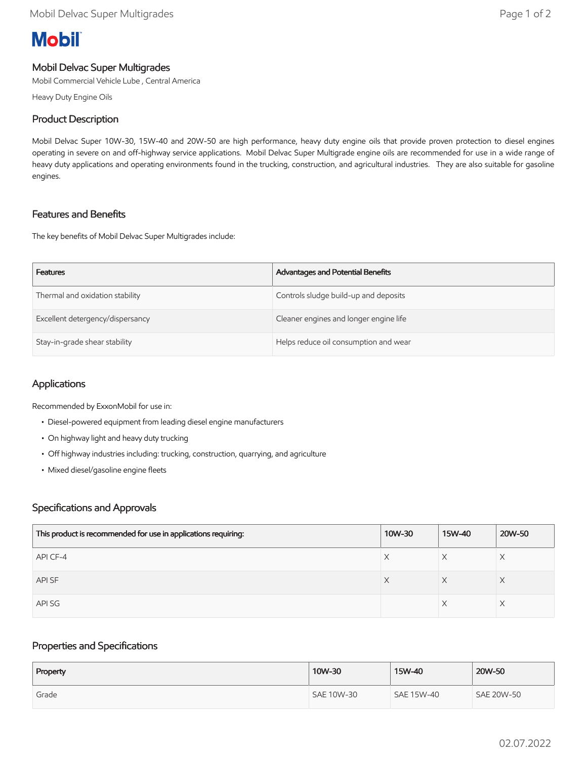# **Mobil**

# Mobil Delvac Super Multigrades

Mobil Commercial Vehicle Lube , Central America

Heavy Duty Engine Oils

## Product Description

Mobil Delvac Super 10W-30, 15W-40 and 20W-50 are high performance, heavy duty engine oils that provide proven protection to diesel engines operating in severe on and off-highway service applications. Mobil Delvac Super Multigrade engine oils are recommended for use in a wide range of heavy duty applications and operating environments found in the trucking, construction, and agricultural industries. They are also suitable for gasoline engines.

# Features and Benefits

The key benefits of Mobil Delvac Super Multigrades include:

| <b>Features</b>                  | Advantages and Potential Benefits      |
|----------------------------------|----------------------------------------|
| Thermal and oxidation stability  | Controls sludge build-up and deposits  |
| Excellent detergency/dispersancy | Cleaner engines and longer engine life |
| Stay-in-grade shear stability    | Helps reduce oil consumption and wear  |

# Applications

Recommended by ExxonMobil for use in:

- Diesel-powered equipment from leading diesel engine manufacturers
- On highway light and heavy duty trucking
- Off highway industries including: trucking, construction, quarrying, and agriculture
- Mixed diesel/gasoline engine fleets

### Specifications and Approvals

| This product is recommended for use in applications requiring: | 10W-30 | 15W-40 | 20W-50 |
|----------------------------------------------------------------|--------|--------|--------|
| API CF-4                                                       | X      | X      |        |
| API SF                                                         | X      | X      | X      |
| API SG                                                         |        |        |        |

### Properties and Specifications

| Property | 10W-30     | 15W-40     | 20W-50            |
|----------|------------|------------|-------------------|
| Grade    | SAE 10W-30 | SAE 15W-40 | <b>SAE 20W-50</b> |